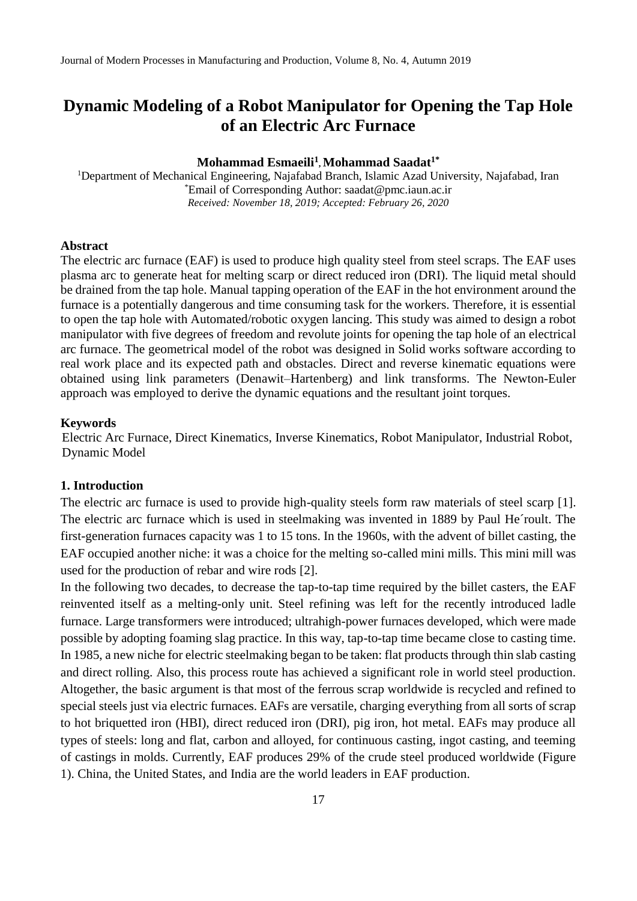## **Mohammad Esmaeili<sup>1</sup> , Mohammad Saadat1\***

<sup>1</sup>Department of Mechanical Engineering, Najafabad Branch, Islamic Azad University, Najafabad, Iran \*Email of Corresponding Author: saadat@pmc.iaun.ac.ir *Received: November 18, 2019; Accepted: February 26, 2020*

#### **Abstract**

The electric arc furnace (EAF) is used to produce high quality steel from steel scraps. The EAF uses plasma arc to generate heat for melting scarp or direct reduced iron (DRI). The liquid metal should be drained from the tap hole. Manual tapping operation of the EAF in the hot environment around the furnace is a potentially dangerous and time consuming task for the workers. Therefore, it is essential to open the tap hole with Automated/robotic oxygen lancing. This study was aimed to design a robot manipulator with five degrees of freedom and revolute joints for opening the tap hole of an electrical arc furnace. The geometrical model of the robot was designed in Solid works software according to real work place and its expected path and obstacles. Direct and reverse kinematic equations were obtained using link parameters (Denawit–Hartenberg) and link transforms. The Newton-Euler approach was employed to derive the dynamic equations and the resultant joint torques.

#### **Keywords**

Electric Arc Furnace, Direct Kinematics, Inverse Kinematics, Robot Manipulator, Industrial Robot, Dynamic Model

## **1. Introduction**

The electric arc furnace is used to provide high-quality steels form raw materials of steel scarp [1]. The electric arc furnace which is used in steelmaking was invented in 1889 by Paul He´roult. The first-generation furnaces capacity was 1 to 15 tons. In the 1960s, with the advent of billet casting, the EAF occupied another niche: it was a choice for the melting so-called mini mills. This mini mill was used for the production of rebar and wire rods [2].

In the following two decades, to decrease the tap-to-tap time required by the billet casters, the EAF reinvented itself as a melting-only unit. Steel refining was left for the recently introduced ladle furnace. Large transformers were introduced; ultrahigh-power furnaces developed, which were made possible by adopting foaming slag practice. In this way, tap-to-tap time became close to casting time. In 1985, a new niche for electric steelmaking began to be taken: flat products through thin slab casting and direct rolling. Also, this process route has achieved a significant role in world steel production. Altogether, the basic argument is that most of the ferrous scrap worldwide is recycled and refined to special steels just via electric furnaces. EAFs are versatile, charging everything from all sorts of scrap to hot briquetted iron (HBI), direct reduced iron (DRI), pig iron, hot metal. EAFs may produce all types of steels: long and flat, carbon and alloyed, for continuous casting, ingot casting, and teeming of castings in molds. Currently, EAF produces 29% of the crude steel produced worldwide (Figure 1). China, the United States, and India are the world leaders in EAF production.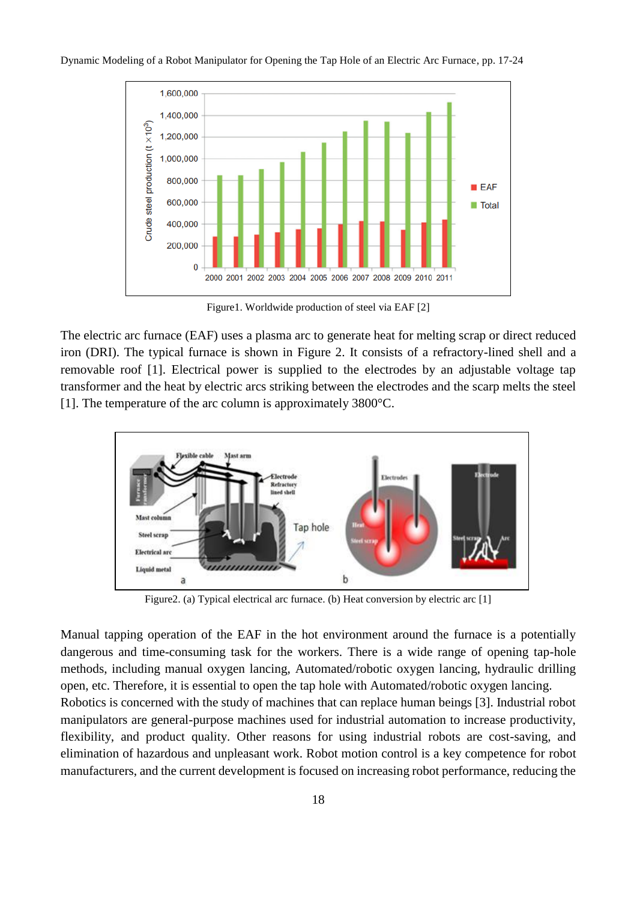

Figure1. Worldwide production of steel via EAF [2]

The electric arc furnace (EAF) uses a plasma arc to generate heat for melting scrap or direct reduced iron (DRI). The typical furnace is shown in Figure 2. It consists of a refractory-lined shell and a removable roof [1]. Electrical power is supplied to the electrodes by an adjustable voltage tap transformer and the heat by electric arcs striking between the electrodes and the scarp melts the steel [1]. The temperature of the arc column is approximately 3800°C.



Figure2. (a) Typical electrical arc furnace. (b) Heat conversion by electric arc [1]

Manual tapping operation of the EAF in the hot environment around the furnace is a potentially dangerous and time-consuming task for the workers. There is a wide range of opening tap-hole methods, including manual oxygen lancing, Automated/robotic oxygen lancing, hydraulic drilling open, etc. Therefore, it is essential to open the tap hole with Automated/robotic oxygen lancing. Robotics is concerned with the study of machines that can replace human beings [3]. Industrial robot manipulators are general-purpose machines used for industrial automation to increase productivity, flexibility, and product quality. Other reasons for using industrial robots are cost-saving, and elimination of hazardous and unpleasant work. Robot motion control is a key competence for robot manufacturers, and the current development is focused on increasing robot performance, reducing the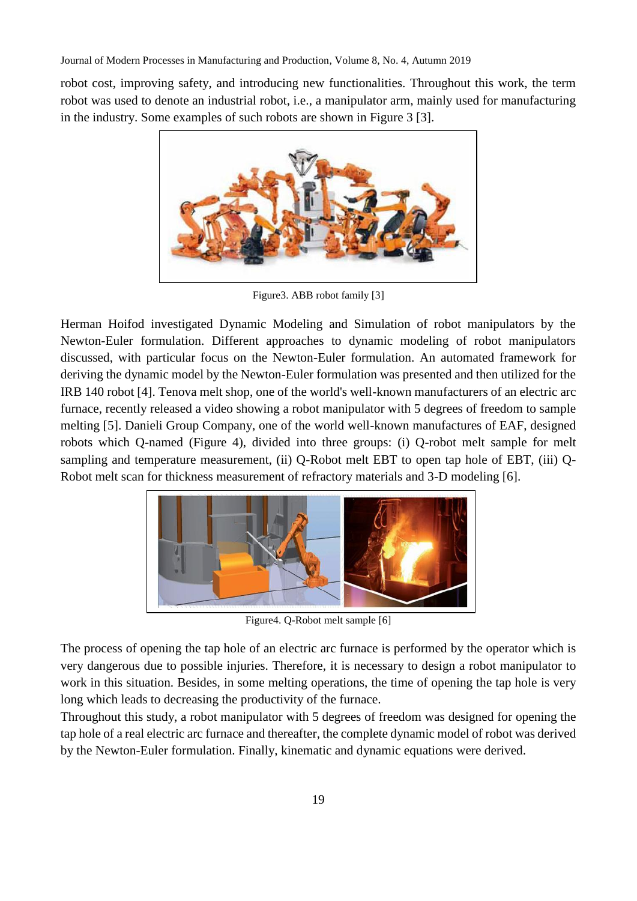robot cost, improving safety, and introducing new functionalities. Throughout this work, the term robot was used to denote an industrial robot, i.e., a manipulator arm, mainly used for manufacturing in the industry. Some examples of such robots are shown in Figure 3 [3].



Figure3. ABB robot family [3]

Herman Hoifod investigated Dynamic Modeling and Simulation of robot manipulators by the Newton-Euler formulation. Different approaches to dynamic modeling of robot manipulators discussed, with particular focus on the Newton-Euler formulation. An automated framework for deriving the dynamic model by the Newton-Euler formulation was presented and then utilized for the IRB 140 robot [4]. Tenova melt shop, one of the world's well-known manufacturers of an electric arc furnace, recently released a video showing a robot manipulator with 5 degrees of freedom to sample melting [5]. Danieli Group Company, one of the world well-known manufactures of EAF, designed robots which Q-named (Figure 4), divided into three groups: (i) Q-robot melt sample for melt sampling and temperature measurement, (ii) Q-Robot melt EBT to open tap hole of EBT, (iii) Q-Robot melt scan for thickness measurement of refractory materials and 3-D modeling [6].



Figure4. Q-Robot melt sample [6]

The process of opening the tap hole of an electric arc furnace is performed by the operator which is very dangerous due to possible injuries. Therefore, it is necessary to design a robot manipulator to work in this situation. Besides, in some melting operations, the time of opening the tap hole is very long which leads to decreasing the productivity of the furnace.

Throughout this study, a robot manipulator with 5 degrees of freedom was designed for opening the tap hole of a real electric arc furnace and thereafter, the complete dynamic model of robot was derived by the Newton-Euler formulation. Finally, kinematic and dynamic equations were derived.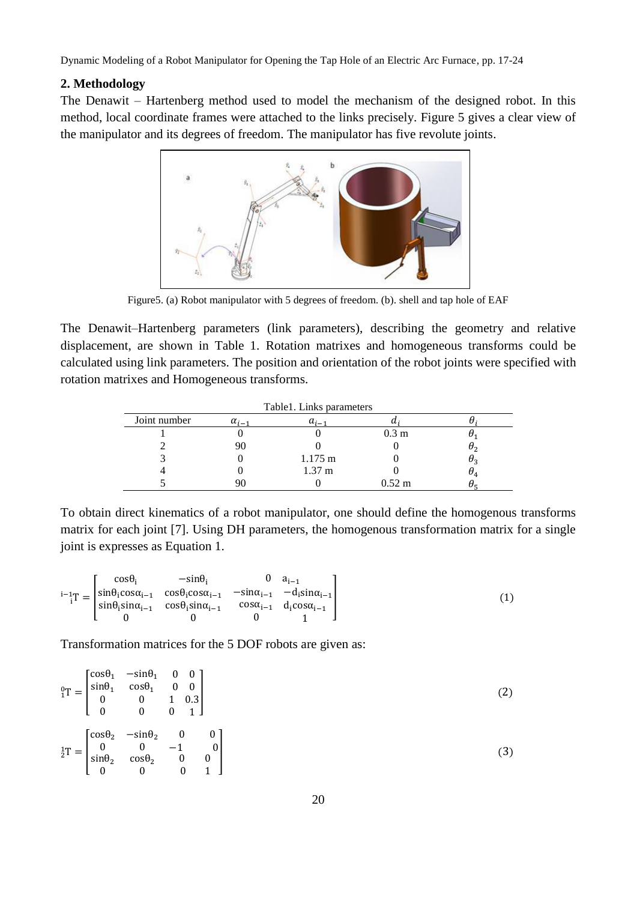## **2. Methodology**

The Denawit – Hartenberg method used to model the mechanism of the designed robot. In this method, local coordinate frames were attached to the links precisely. Figure 5 gives a clear view of the manipulator and its degrees of freedom. The manipulator has five revolute joints.



Figure5. (a) Robot manipulator with 5 degrees of freedom. (b). shell and tap hole of EAF

The Denawit–Hartenberg parameters (link parameters), describing the geometry and relative displacement, are shown in Table 1. Rotation matrixes and homogeneous transforms could be calculated using link parameters. The position and orientation of the robot joints were specified with rotation matrixes and Homogeneous transforms.

|              |                | Table 1. Links parameters |                  |                                  |
|--------------|----------------|---------------------------|------------------|----------------------------------|
| Joint number | $\alpha_{i-1}$ | $a_{i-1}$                 | u                |                                  |
|              |                |                           | 0.3 <sub>m</sub> |                                  |
|              | 90             |                           |                  | $\sigma_2$                       |
|              |                | $1.175 \text{ m}$         |                  | $\theta_3$                       |
|              |                | 1.37 <sub>m</sub>         |                  | $\sigma_{\scriptscriptstyle{A}}$ |
|              |                |                           | $0.52 \;{\rm m}$ |                                  |

To obtain direct kinematics of a robot manipulator, one should define the homogenous transforms matrix for each joint [7]. Using DH parameters, the homogenous transformation matrix for a single joint is expresses as Equation 1.

$$
{}^{i-1}_{i}T = \begin{bmatrix} \cos\theta_{i} & -\sin\theta_{i} & 0 & a_{i-1} \\ \sin\theta_{i}\cos\alpha_{i-1} & \cos\theta_{i}\cos\alpha_{i-1} & -\sin\alpha_{i-1} & -d_{i}\sin\alpha_{i-1} \\ \sin\theta_{i}\sin\alpha_{i-1} & \cos\theta_{i}\sin\alpha_{i-1} & \cos\alpha_{i-1} & d_{i}\cos\alpha_{i-1} \\ 0 & 0 & 0 & 1 \end{bmatrix}
$$
(1)

Transformation matrices for the 5 DOF robots are given as:

$$
\begin{aligned}\n{}_{1}^{0}T &= \begin{bmatrix}\n\cos\theta_{1} & -\sin\theta_{1} & 0 & 0 \\
\sin\theta_{1} & \cos\theta_{1} & 0 & 0 \\
0 & 0 & 1 & 0.3 \\
0 & 0 & 0 & 1\n\end{bmatrix} \\
{}_{2}^{1}T &= \begin{bmatrix}\n\cos\theta_{2} & -\sin\theta_{2} & 0 & 0 \\
0 & 0 & -1 & 0 \\
\sin\theta_{2} & \cos\theta_{2} & 0 & 0 \\
0 & 0 & 0 & 1\n\end{bmatrix}\n\end{aligned} \tag{3}
$$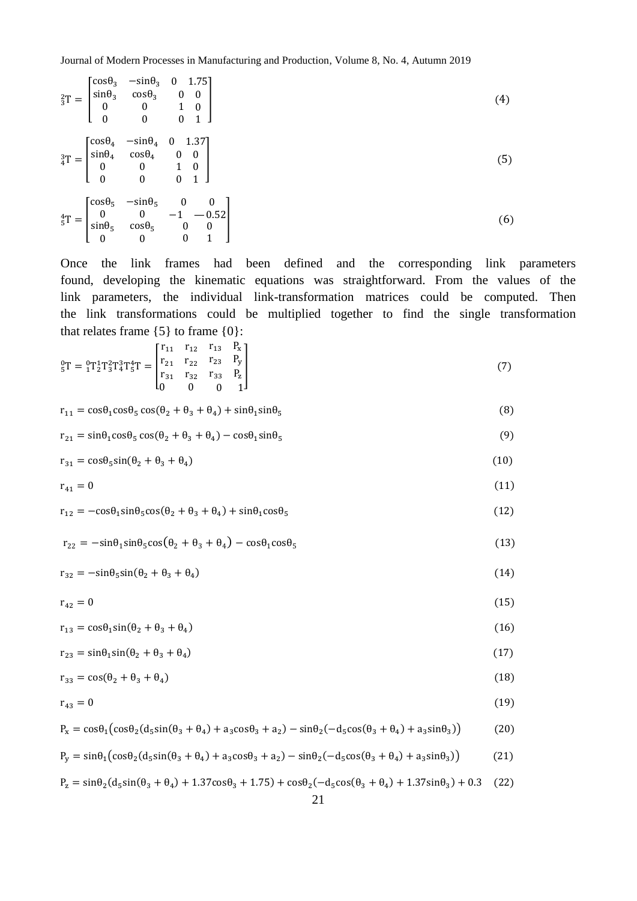Journal of Modern Processes in Manufacturing and Production, Volume 8, No. 4, Autumn 2019

|  | ${}_{3}^{2}T = \begin{bmatrix} \cos \theta_{3} & -\sin \theta_{3} & 0 & 1.75 \\ \sin \theta_{3} & \cos \theta_{3} & 0 & 0 \\ 0 & 0 & 1 & 0 \\ 0 & 0 & 0 & 1 \end{bmatrix}$                                                |
|--|---------------------------------------------------------------------------------------------------------------------------------------------------------------------------------------------------------------------------|
|  | $\label{eq:31} \begin{aligned} \tfrac{3}{4}\mathbf{T} = \begin{bmatrix} \cos\theta_4 & -\sin\theta_4 & 0 & 1.37 \\ \sin\theta_4 & \cos\theta_4 & 0 & 0 \\ 0 & 0 & 1 & 0 \\ 0 & 0 & 0 & 1 \end{bmatrix} \end{aligned}$     |
|  | $\label{eq:3.16} \begin{aligned} \tfrac{4}{5}\mathbf{T} = \begin{bmatrix} \cos\theta_5 & -\sin\theta_5 & 0 & 0 \\ 0 & 0 & -1 & -0.52 \\ \sin\theta_5 & \cos\theta_5 & 0 & 0 \\ 0 & 0 & 0 & 1 \end{bmatrix} \end{aligned}$ |

Once the link frames had been defined and the corresponding link parameters found, developing the kinematic equations was straightforward. From the values of the link parameters, the individual link-transformation matrices could be computed. Then the link transformations could be multiplied together to find the single transformation that relates frame  $\{5\}$  to frame  $\{0\}$ :

$$
{}_{5}^{0}T = {}_{1}^{0}T {}_{2}^{1}T {}_{3}^{2}T {}_{4}^{4}T {}_{5}^{4}T = \begin{bmatrix} r_{11} & r_{12} & r_{13} & P_{x} \\ r_{21} & r_{22} & r_{23} & P_{y} \\ r_{31} & r_{32} & r_{33} & P_{z} \\ 0 & 0 & 0 & 1 \end{bmatrix}
$$
(7)

$$
r_{11} = \cos\theta_1 \cos\theta_5 \cos(\theta_2 + \theta_3 + \theta_4) + \sin\theta_1 \sin\theta_5 \tag{8}
$$

$$
r_{21} = \sin\theta_1 \cos\theta_5 \cos(\theta_2 + \theta_3 + \theta_4) - \cos\theta_1 \sin\theta_5
$$
\n(9)

$$
r_{31} = \cos\theta_5 \sin(\theta_2 + \theta_3 + \theta_4) \tag{10}
$$

$$
r_{41}=0\tag{11}
$$

$$
r_{12} = -\cos\theta_1 \sin\theta_5 \cos(\theta_2 + \theta_3 + \theta_4) + \sin\theta_1 \cos\theta_5 \tag{12}
$$

$$
r_{22} = -\sin\theta_1 \sin\theta_5 \cos(\theta_2 + \theta_3 + \theta_4) - \cos\theta_1 \cos\theta_5 \tag{13}
$$

 $r_{32} = -\sin\theta_5 \sin(\theta_2 + \theta_3 + \theta_4)$ )  $(14)$ 

$$
r_{42} = 0 \tag{15}
$$

$$
r_{13} = \cos\theta_1 \sin(\theta_2 + \theta_3 + \theta_4) \tag{16}
$$

$$
r_{23} = \sin\theta_1 \sin(\theta_2 + \theta_3 + \theta_4) \tag{17}
$$

$$
r_{33} = \cos(\theta_2 + \theta_3 + \theta_4) \tag{18}
$$

$$
r_{43} = 0 \tag{19}
$$

$$
P_x = \cos\theta_1 \left(\cos\theta_2 (d_5 \sin(\theta_3 + \theta_4) + a_3 \cos\theta_3 + a_2) - \sin\theta_2 (-d_5 \cos(\theta_3 + \theta_4) + a_3 \sin\theta_3)\right) \tag{20}
$$

$$
P_y = \sin\theta_1 \left(\cos\theta_2 (d_5 \sin(\theta_3 + \theta_4) + a_3 \cos\theta_3 + a_2) - \sin\theta_2 (-d_5 \cos(\theta_3 + \theta_4) + a_3 \sin\theta_3)\right) \tag{21}
$$

$$
P_z = \sin\theta_2 (d_5 \sin(\theta_3 + \theta_4) + 1.37 \cos\theta_3 + 1.75) + \cos\theta_2 (-d_5 \cos(\theta_3 + \theta_4) + 1.37 \sin\theta_3) + 0.3 \quad (22)
$$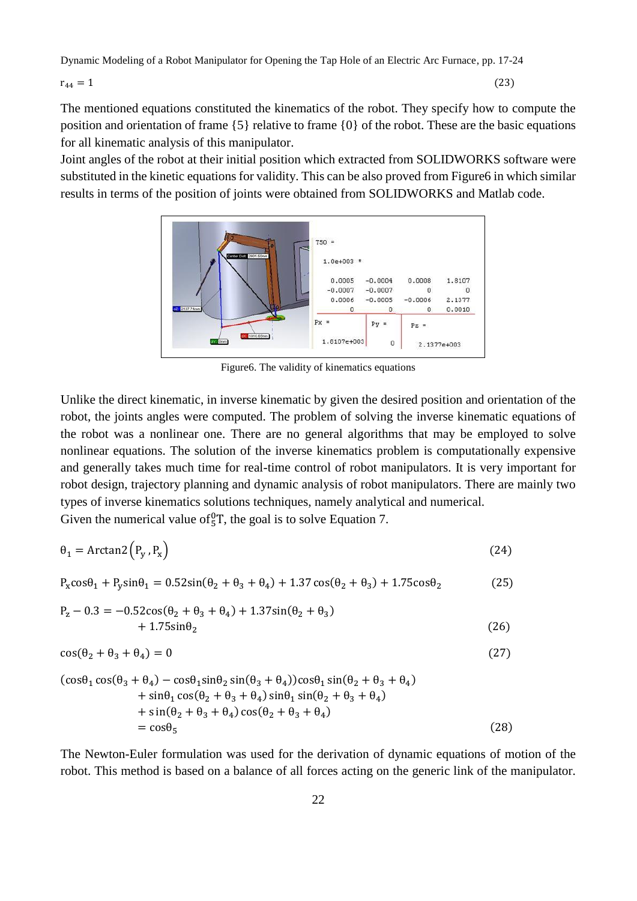$r_{44} = 1$  (23)

The mentioned equations constituted the kinematics of the robot. They specify how to compute the position and orientation of frame  $\{5\}$  relative to frame  $\{0\}$  of the robot. These are the basic equations for all kinematic analysis of this manipulator.

Joint angles of the robot at their initial position which extracted from SOLIDWORKS software were substituted in the kinetic equations for validity. This can be also proved from Figure6 in which similar results in terms of the position of joints were obtained from SOLIDWORKS and Matlab code.



Figure6. The validity of kinematics equations

Unlike the direct kinematic, in inverse kinematic by given the desired position and orientation of the robot, the joints angles were computed. The problem of solving the inverse kinematic equations of the robot was a nonlinear one. There are no general algorithms that may be employed to solve nonlinear equations. The solution of the inverse kinematics problem is computationally expensive and generally takes much time for real-time control of robot manipulators. It is very important for robot design, trajectory planning and dynamic analysis of robot manipulators. There are mainly two types of inverse kinematics solutions techniques, namely analytical and numerical.

Given the numerical value of  ${}^{0}T$ , the goal is to solve Equation 7.

$$
\theta_1 = \arctan 2 \left( P_y \,, P_x \right) \tag{24}
$$

 $P_x \cos\theta_1 + P_y \sin\theta_1 = 0.52 \sin(\theta_2 + \theta_3 + \theta_4) + 1.37 \cos(\theta_2 + \theta_3) + 1.75 \cos\theta_2$  (25)

$$
P_z - 0.3 = -0.52 \cos(\theta_2 + \theta_3 + \theta_4) + 1.37 \sin(\theta_2 + \theta_3) + 1.75 \sin\theta_2
$$
 (26)

$$
\cos(\theta_2 + \theta_3 + \theta_4) = 0 \tag{27}
$$

$$
(\cos\theta_1 \cos(\theta_3 + \theta_4) - \cos\theta_1 \sin\theta_2 \sin(\theta_3 + \theta_4))\cos\theta_1 \sin(\theta_2 + \theta_3 + \theta_4)
$$
  
+ 
$$
\sin\theta_1 \cos(\theta_2 + \theta_3 + \theta_4) \sin\theta_1 \sin(\theta_2 + \theta_3 + \theta_4)
$$
  
+ 
$$
\sin(\theta_2 + \theta_3 + \theta_4) \cos(\theta_2 + \theta_3 + \theta_4)
$$
  
= 
$$
\cos\theta_5
$$
 (28)

The Newton-Euler formulation was used for the derivation of dynamic equations of motion of the robot. This method is based on a balance of all forces acting on the generic link of the manipulator.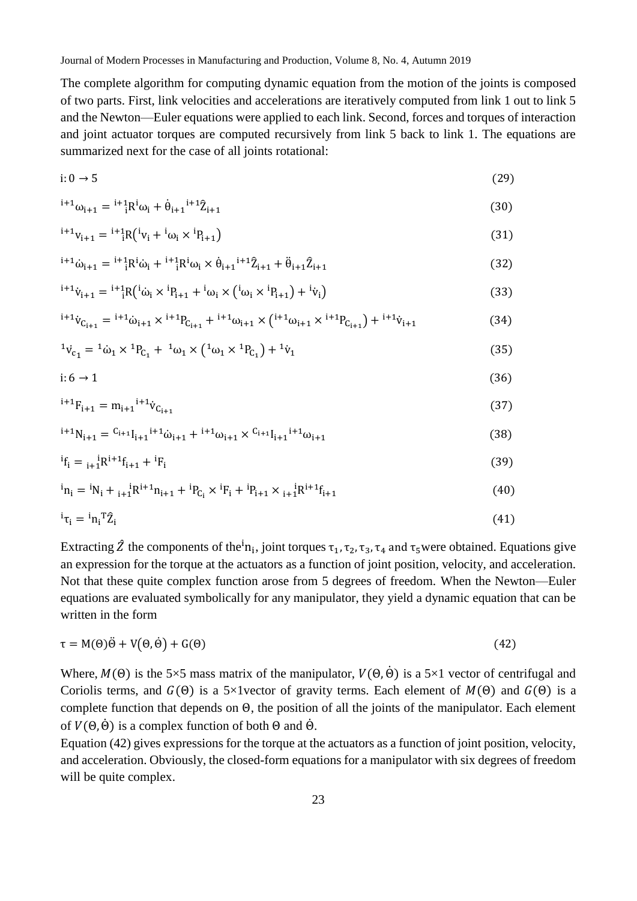The complete algorithm for computing dynamic equation from the motion of the joints is composed of two parts. First, link velocities and accelerations are iteratively computed from link 1 out to link 5 and the Newton—Euler equations were applied to each link. Second, forces and torques of interaction and joint actuator torques are computed recursively from link 5 back to link 1. The equations are summarized next for the case of all joints rotational:

$$
i: 0 \to 5 \tag{29}
$$

$$
i^{1+1}\omega_{i+1} = i^{1+1}R^i\omega_i + \dot{\theta}_{i+1}i^{+1}\hat{Z}_{i+1}
$$
\n(30)

$$
{}^{i+1}v_{i+1} = {}^{i+1}{}_{i}R ({}^{i}v_{i} + {}^{i}\omega_{i} \times {}^{i}P_{i+1})
$$
\n(31)

$$
{}^{i+1}\dot{\omega}_{i+1} = {}^{i+1}{}_{i}R^{i}\dot{\omega}_{i} + {}^{i+1}{}_{i}R^{i}\omega_{i} \times \dot{\theta}_{i+1}{}^{i+1}\hat{Z}_{i+1} + \ddot{\theta}_{i+1}\hat{Z}_{i+1}
$$
\n(32)

$$
{}^{i+1}\dot{v}_{i+1} = {}^{i+1}{}_{i}R ({}^{i}\dot{\omega}_{i} \times {}^{i}P_{i+1} + {}^{i}\omega_{i} \times ({}^{i}\omega_{i} \times {}^{i}P_{i+1}) + {}^{i}\dot{v}_{i})
$$
\n(33)

$$
{}^{i+1}\dot{v}_{C_{i+1}} = {}^{i+1}\dot{\omega}_{i+1} \times {}^{i+1}P_{C_{i+1}} + {}^{i+1}\omega_{i+1} \times ({}^{i+1}\omega_{i+1} \times {}^{i+1}P_{C_{i+1}}) + {}^{i+1}\dot{v}_{i+1}
$$
(34)

$$
{}^{1}\dot{v}_{c_1} = {}^{1}\dot{\omega}_1 \times {}^{1}P_{c_1} + {}^{1}\omega_1 \times ({}^{1}\omega_1 \times {}^{1}P_{c_1}) + {}^{1}\dot{v}_1
$$
\n(35)

$$
i:6 \to 1 \tag{36}
$$

$$
{}^{i+1}F_{i+1} = m_{i+1}{}^{i+1}\dot{v}_{C_{i+1}}
$$
\n(37)

$$
{}^{i+1}N_{i+1} = {}^{C_{i+1}}I_{i+1}{}^{i+1}\dot{\omega}_{i+1} + {}^{i+1}\omega_{i+1} \times {}^{C_{i+1}}I_{i+1}{}^{i+1}\omega_{i+1}
$$
\n(38)

$$
{}^{i}f_{i} = {}_{i+1}{}^{i}R^{i+1}f_{i+1} + {}^{i}F_{i}
$$
\n(39)

$$
{}^{i}n_{i} = {}^{i}N_{i} + {}_{i+1}{}^{i}R^{i+1}n_{i+1} + {}^{i}P_{C_{i}} \times {}^{i}F_{i} + {}^{i}P_{i+1} \times {}_{i+1}{}^{i}R^{i+1}f_{i+1}
$$
\n(40)

$$
{}^{i}\tau_{i} = {}^{i}n_{i}^{\mathrm{T}}\hat{Z}_{i} \tag{41}
$$

Extracting  $\hat{Z}$  the components of the<sup>i</sup>n<sub>i</sub>, joint torques  $\tau_1$ ,  $\tau_2$ ,  $\tau_3$ ,  $\tau_4$  and  $\tau_5$ were obtained. Equations give an expression for the torque at the actuators as a function of joint position, velocity, and acceleration. Not that these quite complex function arose from 5 degrees of freedom. When the Newton—Euler equations are evaluated symbolically for any manipulator, they yield a dynamic equation that can be written in the form

$$
\tau = M(\Theta)\ddot{\Theta} + V(\Theta,\dot{\Theta}) + G(\Theta) \tag{42}
$$

Where,  $M(\Theta)$  is the 5×5 mass matrix of the manipulator,  $V(\Theta, \dot{\Theta})$  is a 5×1 vector of centrifugal and Coriolis terms, and  $G(\Theta)$  is a 5×1vector of gravity terms. Each element of  $M(\Theta)$  and  $G(\Theta)$  is a complete function that depends on Θ, the position of all the joints of the manipulator. Each element of  $V(\Theta, \dot{\Theta})$  is a complex function of both  $\Theta$  and  $\dot{\Theta}$ .

Equation (42) gives expressions for the torque at the actuators as a function of joint position, velocity, and acceleration. Obviously, the closed-form equations for a manipulator with six degrees of freedom will be quite complex.